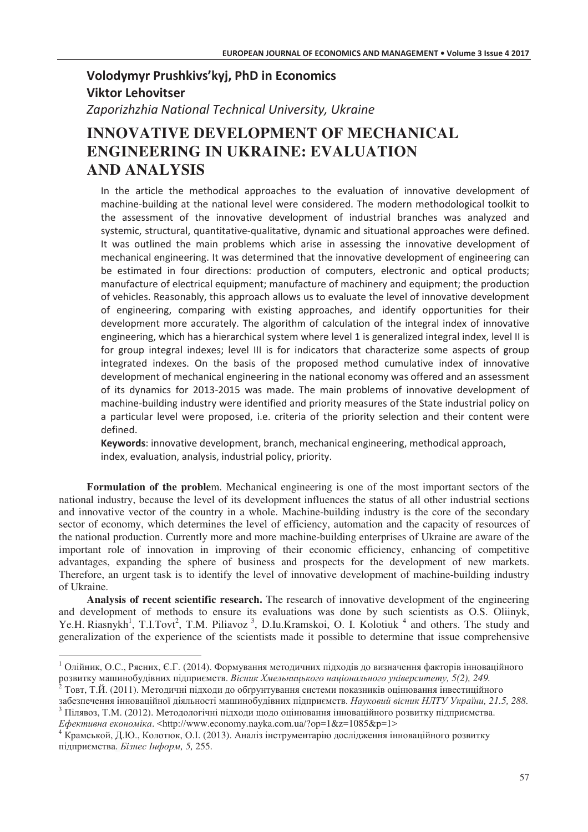## **Volodymyr Prushkivs'kyj, PhD in Economics Viktor Lehovitser**

Zaporizhzhia National Technical University, Ukraine

# **INNOVATIVE DEVELOPMENT OF MECHANICAL ENGINEERING IN UKRAINE: EVALUATION AND ANALYSIS**

In the article the methodical approaches to the evaluation of innovative development of machine-building at the national level were considered. The modern methodological toolkit to the assessment of the innovative development of industrial branches was analyzed and systemic, structural, quantitative-qualitative, dynamic and situational approaches were defined. It was outlined the main problems which arise in assessing the innovative development of mechanical engineering. It was determined that the innovative development of engineering can be estimated in four directions: production of computers, electronic and optical products; manufacture of electrical equipment; manufacture of machinery and equipment; the production of vehicles. Reasonably, this approach allows us to evaluate the level of innovative development of engineering, comparing with existing approaches, and identify opportunities for their development more accurately. The algorithm of calculation of the integral index of innovative engineering, which has a hierarchical system where level 1 is generalized integral index, level II is for group integral indexes; level III is for indicators that characterize some aspects of group integrated indexes. On the basis of the proposed method cumulative index of innovative development of mechanical engineering in the national economy was offered and an assessment of its dynamics for 2013-2015 was made. The main problems of innovative development of machine-building industry were identified and priority measures of the State industrial policy on a particular level were proposed, i.e. criteria of the priority selection and their content were defined.

Keywords: innovative development, branch, mechanical engineering, methodical approach, index, evaluation, analysis, industrial policy, priority.

**Formulation of the proble**m. Mechanical engineering is one of the most important sectors of the national industry, because the level of its development influences the status of all other industrial sections and innovative vector of the country in a whole. Machine-building industry is the core of the secondary sector of economy, which determines the level of efficiency, automation and the capacity of resources of the national production. Currently more and more machine-building enterprises of Ukraine are aware of the important role of innovation in improving of their economic efficiency, enhancing of competitive advantages, expanding the sphere of business and prospects for the development of new markets. Therefore, an urgent task is to identify the level of innovative development of machine-building industry of Ukraine.

**Analysis of recent scientific research.** The research of innovative development of the engineering and development of methods to ensure its evaluations was done by such scientists as O.S. Oliinyk, Ye.H. Riasnykh<sup>1</sup>, T.I.Tovt<sup>2</sup>, T.M. Piliavoz<sup>3</sup>, D.Iu.Kramskoi, O. I. Kolotiuk<sup>4</sup> and others. The study and generalization of the experience of the scientists made it possible to determine that issue comprehensive

*Eфективна економіка*. <http://www.economy.nayka.com.ua/?op=1&z=1085&p=1>

 $^1$ Олійник, О.С., Рясних, Є.Г. (2014). Формування методичних підходів до визначення факторів інноваційного розвитку машинобудівних підприємств. *Вісник Хмельницького національного університету, 5(2), 249*.

 $^2$ Товт, Т.Й. (2011). Методичні підходи до обґрунтування системи показників оцінювання інвестиційного забезпечення інноваційної діяльності машинобудівних підприємств. *Науковий вісник НЛТУ України, 21.5, 288*.  $^3$  Пілявоз, Т.М. (2012). Методологічні підходи щодо оцінювання інноваційного розвитку підприємства.

<sup>&</sup>lt;sup>4</sup> Крамськой, Д.Ю., Колотюк, О.І. (2013). Аналіз інструментарію дослідження інноваційного розвитку підприємства. *Бізнес Інформ*, 5, 255.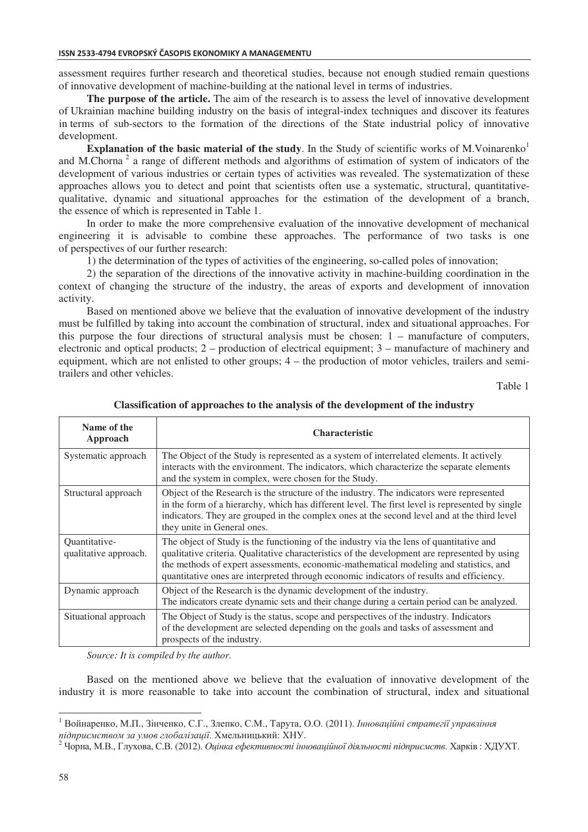assessment requires further research and theoretical studies, because not enough studied remain questions of innovative development of machine-building at the national level in terms of industries.

**The purpose of the article.** The aim of the research is to assess the level of innovative development of Ukrainian machine building industry on the basis of integral-index techniques and discover its features in terms of sub-sectors to the formation of the directions of the State industrial policy of innovative development.

**Explanation of the basic material of the study**. In the Study of scientific works of M.Voinarenko<sup>1</sup> and M.Chorna<sup>2</sup> a range of different methods and algorithms of estimation of system of indicators of the development of various industries or certain types of activities was revealed. The systematization of these approaches allows you to detect and point that scientists often use a systematic, structural, quantitativequalitative, dynamic and situational approaches for the estimation of the development of a branch, the essence of which is represented in Table 1.

In order to make the more comprehensive evaluation of the innovative development of mechanical engineering it is advisable to combine these approaches. The performance of two tasks is one of perspectives of our further research:

1) the determination of the types of activities of the engineering, so-called poles of innovation;

2) the separation of the directions of the innovative activity in machine-building coordination in the context of changing the structure of the industry, the areas of exports and development of innovation activity.

Based on mentioned above we believe that the evaluation of innovative development of the industry must be fulfilled by taking into account the combination of structural, index and situational approaches. For this purpose the four directions of structural analysis must be chosen: 1 – manufacture of computers, electronic and optical products; 2 – production of electrical equipment; 3 – manufacture of machinery and equipment, which are not enlisted to other groups; 4 – the production of motor vehicles, trailers and semitrailers and other vehicles.

Table 1

| Name of the<br>Approach                | <b>Characteristic</b>                                                                                                                                                                                                                                                                                                                                                         |  |  |
|----------------------------------------|-------------------------------------------------------------------------------------------------------------------------------------------------------------------------------------------------------------------------------------------------------------------------------------------------------------------------------------------------------------------------------|--|--|
| Systematic approach                    | The Object of the Study is represented as a system of interrelated elements. It actively<br>interacts with the environment. The indicators, which characterize the separate elements<br>and the system in complex, were chosen for the Study.                                                                                                                                 |  |  |
| Structural approach                    | Object of the Research is the structure of the industry. The indicators were represented<br>in the form of a hierarchy, which has different level. The first level is represented by single<br>indicators. They are grouped in the complex ones at the second level and at the third level<br>they unite in General ones.                                                     |  |  |
| Quantitative-<br>qualitative approach. | The object of Study is the functioning of the industry via the lens of quantitative and<br>qualitative criteria. Qualitative characteristics of the development are represented by using<br>the methods of expert assessments, economic-mathematical modeling and statistics, and<br>quantitative ones are interpreted through economic indicators of results and efficiency. |  |  |
| Dynamic approach                       | Object of the Research is the dynamic development of the industry.<br>The indicators create dynamic sets and their change during a certain period can be analyzed.                                                                                                                                                                                                            |  |  |
| Situational approach                   | The Object of Study is the status, scope and perspectives of the industry. Indicators<br>of the development are selected depending on the goals and tasks of assessment and<br>prospects of the industry.                                                                                                                                                                     |  |  |

#### **Classification of approaches to the analysis of the development of the industry**

*Source: It is compiled by the author.* 

Based on the mentioned above we believe that the evaluation of innovative development of the industry it is more reasonable to take into account the combination of structural, index and situational

<sup>&</sup>lt;sup>1</sup> Войнаренко, М.П., Зінченко, С.Г., Злепко, С.М., Тарута, О.О. (2011). *Інноваційні стратегії управління* niдприємством за умов глобалізації. Хмельницький: ХНУ.

 $^2$  Чорна, М.В., Глухова, С.В. (2012). *Оцінка ефективності інноваційної діяльності підприємств.* Харків : ХДУХТ.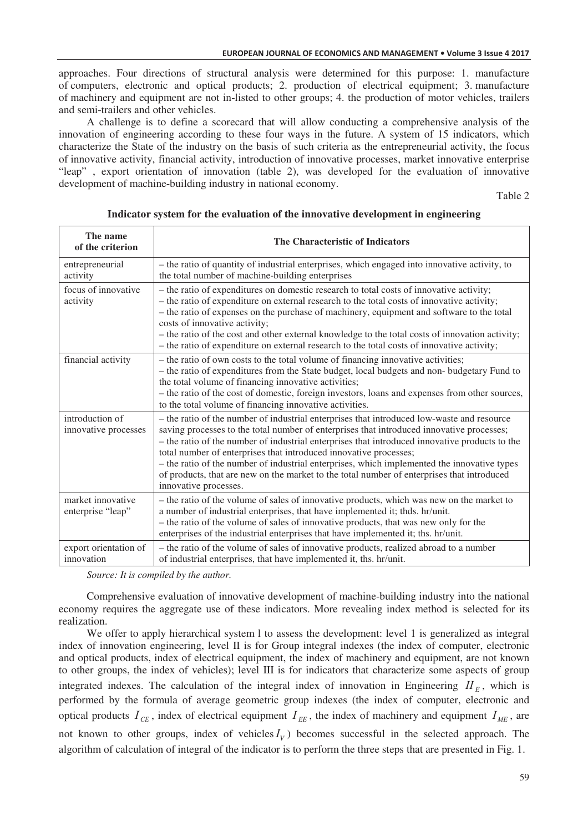approaches. Four directions of structural analysis were determined for this purpose: 1. manufacture of computers, electronic and optical products; 2. production of electrical equipment; 3. manufacture of machinery and equipment are not in-listed to other groups; 4. the production of motor vehicles, trailers and semi-trailers and other vehicles.

A challenge is to define a scorecard that will allow conducting a comprehensive analysis of the innovation of engineering according to these four ways in the future. A system of 15 indicators, which characterize the State of the industry on the basis of such criteria as the entrepreneurial activity, the focus of innovative activity, financial activity, introduction of innovative processes, market innovative enterprise "leap" , export orientation of innovation (table 2), was developed for the evaluation of innovative development of machine-building industry in national economy.

Table 2

| The name<br>of the criterion            | The Characteristic of Indicators                                                                                                                                                                                                                                                                                                                                                                                                                                                                                                                                                     |  |  |
|-----------------------------------------|--------------------------------------------------------------------------------------------------------------------------------------------------------------------------------------------------------------------------------------------------------------------------------------------------------------------------------------------------------------------------------------------------------------------------------------------------------------------------------------------------------------------------------------------------------------------------------------|--|--|
| entrepreneurial<br>activity             | - the ratio of quantity of industrial enterprises, which engaged into innovative activity, to<br>the total number of machine-building enterprises                                                                                                                                                                                                                                                                                                                                                                                                                                    |  |  |
| focus of innovative<br>activity         | - the ratio of expenditures on domestic research to total costs of innovative activity;<br>- the ratio of expenditure on external research to the total costs of innovative activity;<br>- the ratio of expenses on the purchase of machinery, equipment and software to the total<br>costs of innovative activity;<br>- the ratio of the cost and other external knowledge to the total costs of innovation activity;<br>- the ratio of expenditure on external research to the total costs of innovative activity;                                                                 |  |  |
| financial activity                      | - the ratio of own costs to the total volume of financing innovative activities;<br>- the ratio of expenditures from the State budget, local budgets and non- budgetary Fund to<br>the total volume of financing innovative activities;<br>- the ratio of the cost of domestic, foreign investors, loans and expenses from other sources,<br>to the total volume of financing innovative activities.                                                                                                                                                                                 |  |  |
| introduction of<br>innovative processes | - the ratio of the number of industrial enterprises that introduced low-waste and resource<br>saving processes to the total number of enterprises that introduced innovative processes;<br>- the ratio of the number of industrial enterprises that introduced innovative products to the<br>total number of enterprises that introduced innovative processes;<br>- the ratio of the number of industrial enterprises, which implemented the innovative types<br>of products, that are new on the market to the total number of enterprises that introduced<br>innovative processes. |  |  |
| market innovative<br>enterprise "leap"  | - the ratio of the volume of sales of innovative products, which was new on the market to<br>a number of industrial enterprises, that have implemented it; thds. hr/unit.<br>- the ratio of the volume of sales of innovative products, that was new only for the<br>enterprises of the industrial enterprises that have implemented it; ths. hr/unit.                                                                                                                                                                                                                               |  |  |
| export orientation of<br>innovation     | - the ratio of the volume of sales of innovative products, realized abroad to a number<br>of industrial enterprises, that have implemented it, ths. hr/unit.                                                                                                                                                                                                                                                                                                                                                                                                                         |  |  |

#### **Indicator system for the evaluation of the innovative development in engineering**

*Source: It is compiled by the author.* 

Comprehensive evaluation of innovative development of machine-building industry into the national economy requires the aggregate use of these indicators. More revealing index method is selected for its realization.

We offer to apply hierarchical system 1 to assess the development: level 1 is generalized as integral index of innovation engineering, level II is for Group integral indexes (the index of computer, electronic and optical products, index of electrical equipment, the index of machinery and equipment, are not known to other groups, the index of vehicles); level III is for indicators that characterize some aspects of group integrated indexes. The calculation of the integral index of innovation in Engineering  $H<sub>E</sub>$ , which is performed by the formula of average geometric group indexes (the index of computer, electronic and optical products  $I_{CE}$ , index of electrical equipment  $I_{EE}$ , the index of machinery and equipment  $I_{ME}$ , are not known to other groups, index of vehicles  $I_V$ ) becomes successful in the selected approach. The algorithm of calculation of integral of the indicator is to perform the three steps that are presented in Fig. 1.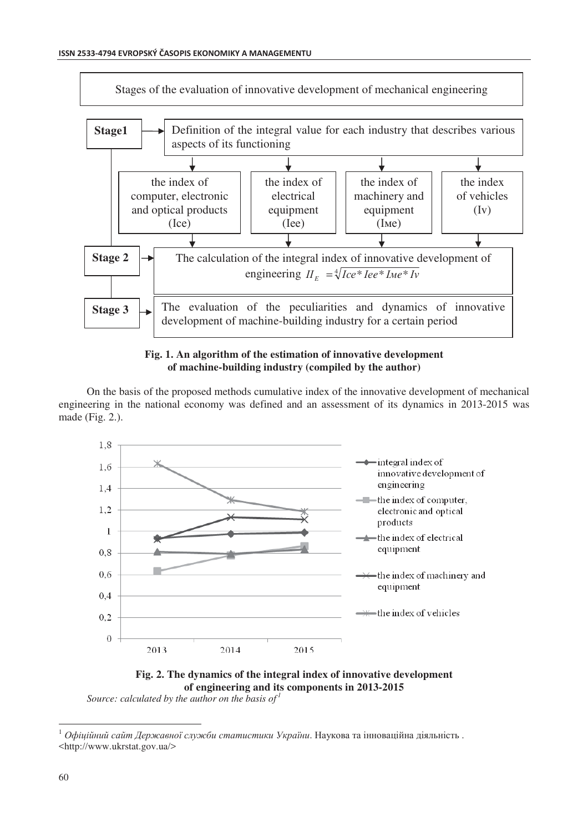



On the basis of the proposed methods cumulative index of the innovative development of mechanical engineering in the national economy was defined and an assessment of its dynamics in 2013-2015 was made (Fig. 2.).





*Source: calculated by the author on the basis of<sup>1</sup>*

 $^1$ Офіційний сайт Державної служби статистики України. Наукова та інноваційна діяльність . <http://www.ukrstat.gov.ua/>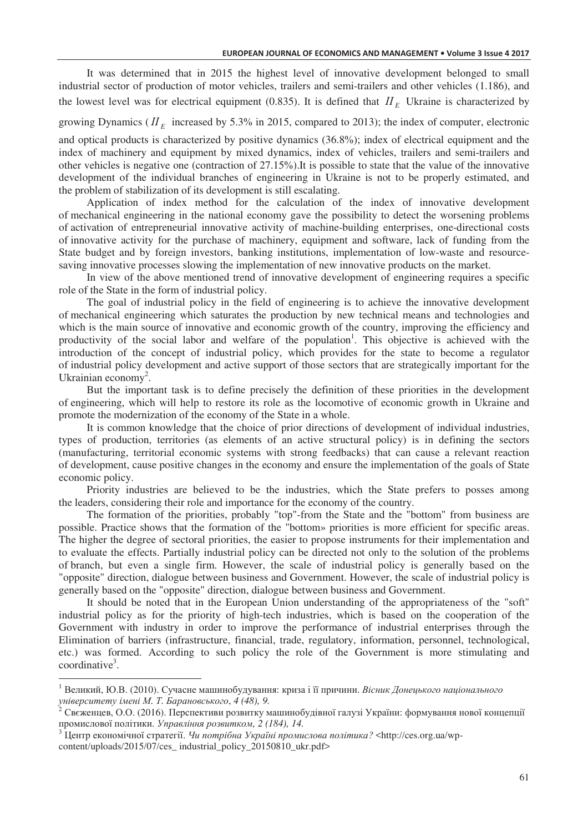It was determined that in 2015 the highest level of innovative development belonged to small industrial sector of production of motor vehicles, trailers and semi-trailers and other vehicles (1.186), and the lowest level was for electrical equipment (0.835). It is defined that  $H_E$  Ukraine is characterized by

growing Dynamics ( $I\bar{I}_E$  increased by 5.3% in 2015, compared to 2013); the index of computer, electronic

and optical products is characterized by positive dynamics (36.8%); index of electrical equipment and the index of machinery and equipment by mixed dynamics, index of vehicles, trailers and semi-trailers and other vehicles is negative one (contraction of 27.15%).It is possible to state that the value of the innovative development of the individual branches of engineering in Ukraine is not to be properly estimated, and the problem of stabilization of its development is still escalating.

Application of index method for the calculation of the index of innovative development of mechanical engineering in the national economy gave the possibility to detect the worsening problems of activation of entrepreneurial innovative activity of machine-building enterprises, one-directional costs of innovative activity for the purchase of machinery, equipment and software, lack of funding from the State budget and by foreign investors, banking institutions, implementation of low-waste and resourcesaving innovative processes slowing the implementation of new innovative products on the market.

In view of the above mentioned trend of innovative development of engineering requires a specific role of the State in the form of industrial policy.

The goal of industrial policy in the field of engineering is to achieve the innovative development of mechanical engineering which saturates the production by new technical means and technologies and which is the main source of innovative and economic growth of the country, improving the efficiency and productivity of the social labor and welfare of the population<sup>1</sup>. This objective is achieved with the introduction of the concept of industrial policy, which provides for the state to become a regulator of industrial policy development and active support of those sectors that are strategically important for the Ukrainian economy<sup>2</sup>.

But the important task is to define precisely the definition of these priorities in the development of engineering, which will help to restore its role as the locomotive of economic growth in Ukraine and promote the modernization of the economy of the State in a whole.

It is common knowledge that the choice of prior directions of development of individual industries, types of production, territories (as elements of an active structural policy) is in defining the sectors (manufacturing, territorial economic systems with strong feedbacks) that can cause a relevant reaction of development, cause positive changes in the economy and ensure the implementation of the goals of State economic policy.

Priority industries are believed to be the industries, which the State prefers to posses among the leaders, considering their role and importance for the economy of the country.

The formation of the priorities, probably "top"-from the State and the "bottom" from business are possible. Practice shows that the formation of the "bottom» priorities is more efficient for specific areas. The higher the degree of sectoral priorities, the easier to propose instruments for their implementation and to evaluate the effects. Partially industrial policy can be directed not only to the solution of the problems of branch, but even a single firm. However, the scale of industrial policy is generally based on the "opposite" direction, dialogue between business and Government. However, the scale of industrial policy is generally based on the "opposite" direction, dialogue between business and Government.

It should be noted that in the European Union understanding of the appropriateness of the "soft" industrial policy as for the priority of high-tech industries, which is based on the cooperation of the Government with industry in order to improve the performance of industrial enterprises through the Elimination of barriers (infrastructure, financial, trade, regulatory, information, personnel, technological, etc.) was formed. According to such policy the role of the Government is more stimulating and  $coordinate<sup>3</sup>$ .

 $^1$  Великий, Ю.В. (2010). Сучасне машинобудування: криза і її причини. *Вісник Донецького національного - /. ). =-* , *4 (48), 9.*

 $^2$  Свеженцев, О.О. (2016). Перспективи розвитку машинобудівної галузі України: формування нової концепції промислової політики. Управління розвитком, 2 (184), 14.

<sup>&</sup>lt;sup>3</sup> Центр економічної стратегії. *Чи потрібна Україні промислова політика?* <http://ces.org.ua/wpcontent/uploads/2015/07/ces\_ industrial\_policy\_20150810\_ukr.pdf>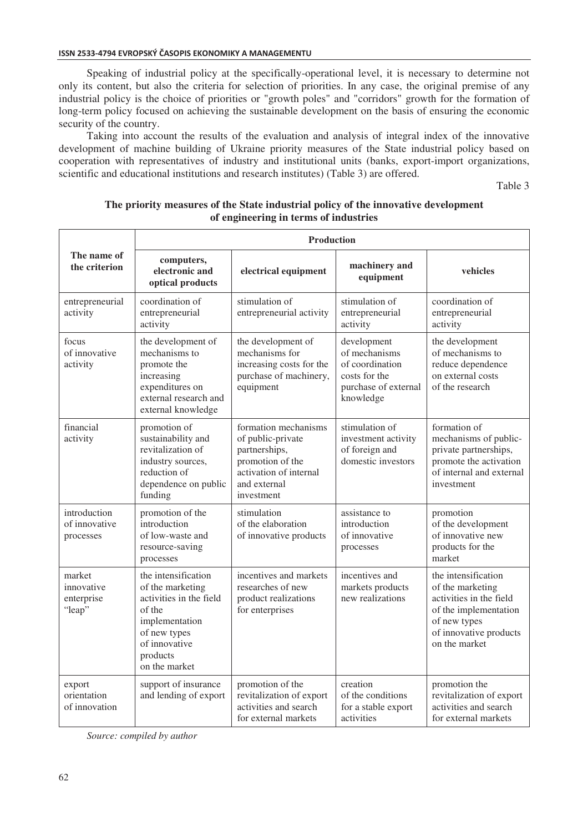Speaking of industrial policy at the specifically-operational level, it is necessary to determine not only its content, but also the criteria for selection of priorities. In any case, the original premise of any industrial policy is the choice of priorities or "growth poles" and "corridors" growth for the formation of long-term policy focused on achieving the sustainable development on the basis of ensuring the economic security of the country.

Taking into account the results of the evaluation and analysis of integral index of the innovative development of machine building of Ukraine priority measures of the State industrial policy based on cooperation with representatives of industry and institutional units (banks, export-import organizations, scientific and educational institutions and research institutes) (Table 3) are offered.

Table 3

| The name of<br>the criterion                 | <b>Production</b>                                                                                                                                            |                                                                                                                                        |                                                                                                       |                                                                                                                                                        |  |
|----------------------------------------------|--------------------------------------------------------------------------------------------------------------------------------------------------------------|----------------------------------------------------------------------------------------------------------------------------------------|-------------------------------------------------------------------------------------------------------|--------------------------------------------------------------------------------------------------------------------------------------------------------|--|
|                                              | computers,<br>electronic and<br>optical products                                                                                                             | electrical equipment                                                                                                                   | machinery and<br>equipment                                                                            | vehicles                                                                                                                                               |  |
| entrepreneurial<br>activity                  | coordination of<br>entrepreneurial<br>activity                                                                                                               | stimulation of<br>entrepreneurial activity                                                                                             | stimulation of<br>entrepreneurial<br>activity                                                         | coordination of<br>entrepreneurial<br>activity                                                                                                         |  |
| focus<br>of innovative<br>activity           | the development of<br>mechanisms to<br>promote the<br>increasing<br>expenditures on<br>external research and<br>external knowledge                           | the development of<br>mechanisms for<br>increasing costs for the<br>purchase of machinery,<br>equipment                                | development<br>of mechanisms<br>of coordination<br>costs for the<br>purchase of external<br>knowledge | the development<br>of mechanisms to<br>reduce dependence<br>on external costs<br>of the research                                                       |  |
| financial<br>activity                        | promotion of<br>sustainability and<br>revitalization of<br>industry sources,<br>reduction of<br>dependence on public<br>funding                              | formation mechanisms<br>of public-private<br>partnerships,<br>promotion of the<br>activation of internal<br>and external<br>investment | stimulation of<br>investment activity<br>of foreign and<br>domestic investors                         | formation of<br>mechanisms of public-<br>private partnerships,<br>promote the activation<br>of internal and external<br>investment                     |  |
| introduction<br>of innovative<br>processes   | promotion of the<br>introduction<br>of low-waste and<br>resource-saving<br>processes                                                                         | stimulation<br>of the elaboration<br>of innovative products                                                                            | assistance to<br>introduction<br>of innovative<br>processes                                           | promotion<br>of the development<br>of innovative new<br>products for the<br>market                                                                     |  |
| market<br>innovative<br>enterprise<br>"leap" | the intensification<br>of the marketing<br>activities in the field<br>of the<br>implementation<br>of new types<br>of innovative<br>products<br>on the market | incentives and markets<br>researches of new<br>product realizations<br>for enterprises                                                 | incentives and<br>markets products<br>new realizations                                                | the intensification<br>of the marketing<br>activities in the field<br>of the implementation<br>of new types<br>of innovative products<br>on the market |  |
| export<br>orientation<br>of innovation       | support of insurance<br>and lending of export                                                                                                                | promotion of the<br>revitalization of export<br>activities and search<br>for external markets                                          | creation<br>of the conditions<br>for a stable export<br>activities                                    | promotion the<br>revitalization of export<br>activities and search<br>for external markets                                                             |  |

### **The priority measures of the State industrial policy of the innovative development of engineering in terms of industries**

*Source: compiled by author*